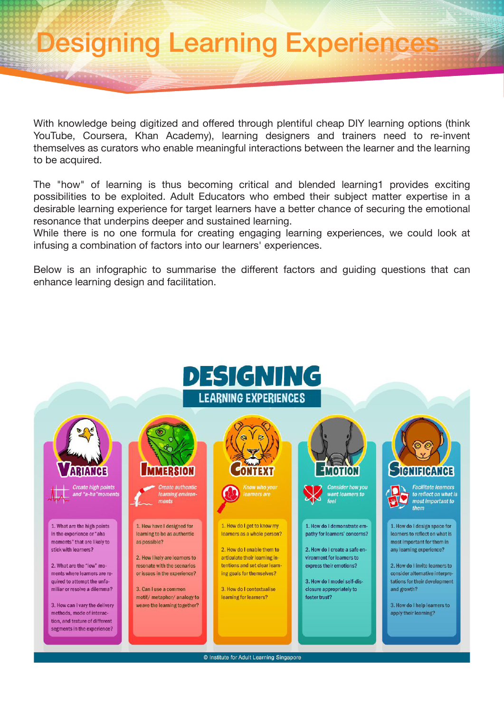## Designing Learning Experiences

With knowledge being digitized and offered through plentiful cheap DIY learning options (think YouTube, Coursera, Khan Academy), learning designers and trainers need to re-invent themselves as curators who enable meaningful interactions between the learner and the learning to be acquired.

The "how" of learning is thus becoming critical and blended learning1 provides exciting possibilities to be exploited. Adult Educators who embed their subject matter expertise in a desirable learning experience for target learners have a better chance of securing the emotional resonance that underpins deeper and sustained learning.

While there is no one formula for creating engaging learning experiences, we could look at infusing a combination of factors into our learners' experiences.

Below is an infographic to summarise the different factors and guiding questions that can enhance learning design and facilitation.